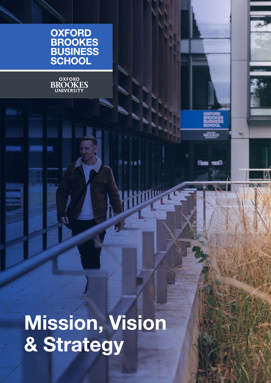| OXFORD          |  |
|-----------------|--|
| <b>BROOKES</b>  |  |
| <b>BUSINESS</b> |  |
| <b>SCHOOL</b>   |  |



**Mission, Vision & Strategy**

hilly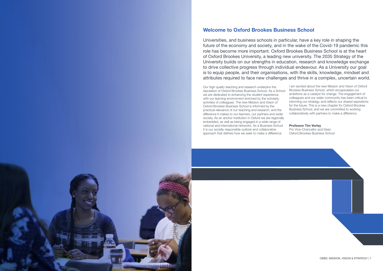### **Welcome to Oxford Brookes Business School**

Universities, and business schools in particular, have a key role in shaping the future of the economy and society, and in the wake of the Covid-19 pandemic this role has become more important. Oxford Brookes Business School is at the heart of Oxford Brookes University, a leading new university. The 2035 Strategy of the University builds on our strengths in education, research and knowledge exchange to drive collective progress through individual endeavour. As a University our goal is to equip people, and their organisations, with the skills, knowledge, mindset and attributes required to face new challenges and thrive in a complex, uncertain world.

Our high quality teaching and research underpins the reputation of Oxford Brookes Business School. As a School we are dedicated to enhancing the student experience, with our learning environment enriched by the scholarly activities of colleagues. The new Mission and Vision of Oxford Brookes Business School is informed by the practical relevance of our teaching and research, and the difference it makes to our learners, our partners and wider society. As an anchor institution in Oxford we are regionally embedded, as well as being engaged in a wide range of national and international networks. As a Business School it is our socially responsible outlook and collaborative approach that defines how we seek to make a difference. I am excited about the new Mission and Vision of Oxford Brookes Business School, which encapsulates our ambitions as a catalyst for change. The engagement of colleagues and our wider community has been critical to informing our strategy, and reflects our shared aspirations for the future. This is a new chapter for Oxford Brookes Business School, and we are committed to working collaboratively with partners to make a difference. **Professor Tim Vorley** Pro Vice-Chancellor and Dean Oxford Brookes Business School

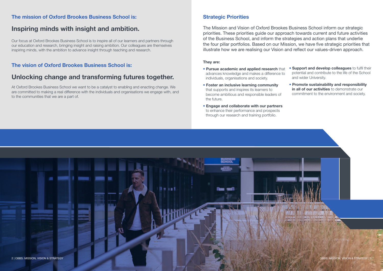### **Strategic Priorities**

The Mission and Vision of Oxford Brookes Business School inform our strategic priorities. These priorities guide our approach towards current and future activities of the Business School, and inform the strategies and action plans that underlie the four pillar portfolios. Based on our Mission, we have five strategic priorities that illustrate how we are realising our Vision and reflect our values-driven approach.

### **They are:**

- **Pursue academic and applied research** that advances knowledge and makes a difference to individuals, organisations and society. • **Support and develop colleagues** to fulfil their potential and contribute to the life of the School and wider University.
- **Foster an inclusive learning community** that supports and inspires its learners to become ambitious and responsible leaders of the future.
- **Engage and collaborate with our partners** to enhance their performance and prospects through our research and training portfolio.

• **Promote sustainability and responsibility in all of our activities** to demonstrate our commitment to the environment and society.



### **The mission of Oxford Brookes Business School is:**

# **Inspiring minds with insight and ambition.**

Our focus at Oxford Brookes Business School is to inspire all of our learners and partners through our education and research, bringing insight and raising ambition. Our colleagues are themselves inspiring minds, with the ambition to advance insight through teaching and research.

## **The vision of Oxford Brookes Business School is:**

# **Unlocking change and transforming futures together.**

At Oxford Brookes Business School we want to be a catalyst to enabling and enacting change. We are committed to making a real difference with the individuals and organisations we engage with, and to the communities that we are a part of.

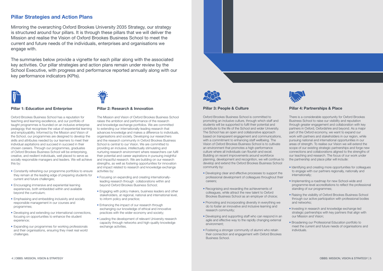#### **Pillar 3: People & Culture**

Oxford Brookes Business School is committed to promoting an inclusive culture, through which staff and students will be supported to fulfil their potential and contribute to the life of the School and wider University. The School has an open and collaborative approach based on transparent engagement and communications, with a commitment to enhancing staff wellbeing. The Vision of Oxford Brookes Business School is to cultivate an environment that promotes a high-performance culture where all individuals can flourish and excel. Building on recent improvements around workforce planning, development and recognition, we will continue to develop and extend the Oxford Brookes Business School community by:

- Developing clear and effective processes to support the professional development of colleagues throughout their careers;
- Recognising and rewarding the achievements of colleagues, while attract the new talent to Oxford Brookes Business School as an employer of choice;
- Promoting and incorporating diversity in everything we do to foster an innovative and inclusive learning and research community;
- Developing and supporting staff who can respond in an agile and effective way to the rapidly changing external environment;
- Fostering a stronger community of alumni who retain their connection and engagement with Oxford Brookes Business School.



#### **Pillar 4: Partnerships & Place**

There is a considerable opportunity for Oxford Brookes Business School to raise our visibility and reputation through greater engagement and collaboration with key partners in Oxford, Oxfordshire and beyond. As a major part of the Oxford economy, we want to expand our work with partners and stakeholders in our region, while pursuing national and international opportunities in our areas of strength. To realise our Vision we will extend the scope of our existing strategic partnerships and forge new connections and collaborations aligned to the strengths of our teaching and research. The focus of our work under the partnership and place pillar will include:

- Identifying and creating more opportunities for colleagues to engage with our partners regionally, nationally and internationally;
- Implementing a roadmap for new School-wide and programme-level accreditations to reflect the professional standing of our programmes;
- Raising the visibility of Oxford Brookes Business School through our active participation with professional bodies and networks;
- Investing in research and knowledge exchange led strategic partnerships with key partners that align with our Mission and Vision;
- Broadening our Professional Education portfolio to meet the current and future needs of organisations and individuals.

### **Pillar Strategies and Action Plans**

Mirroring the overarching Oxford Brookes University 2035 Strategy, our strategy is structured around four pillars. It is through these pillars that we will deliver the Mission and realise the Vision of Oxford Brookes Business School to meet the current and future needs of the individuals, enterprises and organisations we engage with.

The summaries below provide a vignette for each pillar along with the associated key activities. Our pillar strategies and action plans remain under review by the School Executive, with progress and performance reported annually along with our key performance indicators (KPIs).



#### **Pillar 1: Education and Enterprise**

Oxford Brookes Business School has a reputation for teaching and learning excellence, and our portfolio of taught programmes is founded on an inclusive enterprise pedagogy that recognises the value of experiential learning and employability. Informed by the Mission and Vision of the School, our programmes are designed to develop the skills and attributes needed by our learners to meet their individual aspitations and succeed in succeed in their chosen careers. Through our programmes, graduates of Oxford Brookes Business School will be enterprising, creative, and resilient individuals, well placed to serve as socially responsible managers and leaders. We will achieve this by:

- Constantly refreshing our programme portfolios to ensure they remain at the leading edge of preparing students for current and future challenges;
- Encouraging immersive and experiential learning experiences, both embedded within and available beyond the curriculum;
- Emphasising and embedding inclusivity and socially responsible management in our courses and programmes;
- Developing and extending our international connections, focusing on opportunities to enhance the student experience;
- Expanding our programmes for working professionals and their organisations, ensuring they meet real world challenges.



#### **Pillar 2: Research & Innovation**

The Mission and Vision of Oxford Brookes Business School raises the ambition and performance of the research and knowledge exchange portfolios. We are committed to extending our internationally-leading research that advances knowledge and makes a difference to individuals, organisations and society. Developing our researchers and the research community in Oxford Brookes Business School is central to our Vision. We are committed to providing an inclusive, intellectually stimulating and nurturing research environment where researchers can fulfil their potential and career aspirations in pursuing insightful and impactful research. We are building on our research strengths, as well as fostering opportunities for innovation and impact related to research and knowledge exchange activities by:

- Focusing on expanding and creating internationallyleading research through collaborations within and beyond Oxford Brookes Business School;
- Engaging with policy makers, business leaders and other stakeholders, at regional, national and international level, to inform policy and practice;
- Enhancing the impact of our research through exchanging our knowledge of ethical and innovative practices with the wider economy and society;
- Leading the development of relevant University research capacity through networks and high-quality knowledge exchange activities.